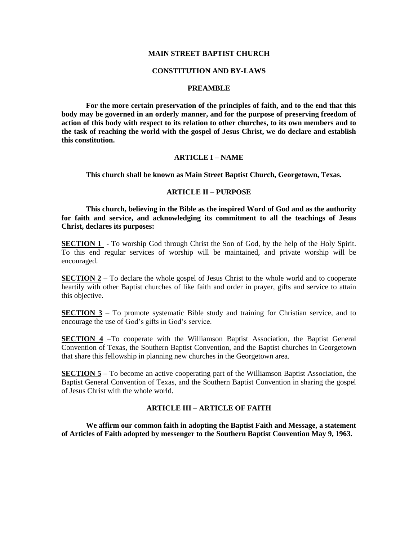#### **MAIN STREET BAPTIST CHURCH**

#### **CONSTITUTION AND BY-LAWS**

#### **PREAMBLE**

**For the more certain preservation of the principles of faith, and to the end that this body may be governed in an orderly manner, and for the purpose of preserving freedom of action of this body with respect to its relation to other churches, to its own members and to the task of reaching the world with the gospel of Jesus Christ, we do declare and establish this constitution.**

### **ARTICLE I – NAME**

**This church shall be known as Main Street Baptist Church, Georgetown, Texas.**

### **ARTICLE II – PURPOSE**

**This church, believing in the Bible as the inspired Word of God and as the authority for faith and service, and acknowledging its commitment to all the teachings of Jesus Christ, declares its purposes:**

**SECTION 1** - To worship God through Christ the Son of God, by the help of the Holy Spirit. To this end regular services of worship will be maintained, and private worship will be encouraged.

**SECTION 2** – To declare the whole gospel of Jesus Christ to the whole world and to cooperate heartily with other Baptist churches of like faith and order in prayer, gifts and service to attain this objective.

**SECTION 3** – To promote systematic Bible study and training for Christian service, and to encourage the use of God's gifts in God's service.

**SECTION 4** –To cooperate with the Williamson Baptist Association, the Baptist General Convention of Texas, the Southern Baptist Convention, and the Baptist churches in Georgetown that share this fellowship in planning new churches in the Georgetown area.

**SECTION 5** – To become an active cooperating part of the Williamson Baptist Association, the Baptist General Convention of Texas, and the Southern Baptist Convention in sharing the gospel of Jesus Christ with the whole world.

#### **ARTICLE III – ARTICLE OF FAITH**

**We affirm our common faith in adopting the Baptist Faith and Message, a statement of Articles of Faith adopted by messenger to the Southern Baptist Convention May 9, 1963.**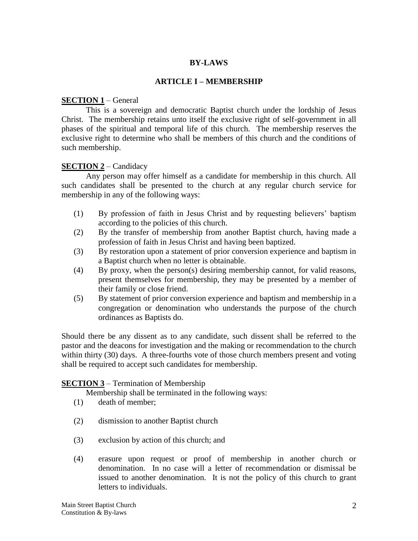### **BY-LAWS**

### **ARTICLE I – MEMBERSHIP**

### **SECTION 1** – General

This is a sovereign and democratic Baptist church under the lordship of Jesus Christ. The membership retains unto itself the exclusive right of self-government in all phases of the spiritual and temporal life of this church. The membership reserves the exclusive right to determine who shall be members of this church and the conditions of such membership.

### **SECTION 2** – Candidacy

Any person may offer himself as a candidate for membership in this church. All such candidates shall be presented to the church at any regular church service for membership in any of the following ways:

- (1) By profession of faith in Jesus Christ and by requesting believers' baptism according to the policies of this church.
- (2) By the transfer of membership from another Baptist church, having made a profession of faith in Jesus Christ and having been baptized.
- (3) By restoration upon a statement of prior conversion experience and baptism in a Baptist church when no letter is obtainable.
- (4) By proxy, when the person(s) desiring membership cannot, for valid reasons, present themselves for membership, they may be presented by a member of their family or close friend.
- (5) By statement of prior conversion experience and baptism and membership in a congregation or denomination who understands the purpose of the church ordinances as Baptists do.

Should there be any dissent as to any candidate, such dissent shall be referred to the pastor and the deacons for investigation and the making or recommendation to the church within thirty (30) days. A three-fourths vote of those church members present and voting shall be required to accept such candidates for membership.

### **SECTION 3** – Termination of Membership

Membership shall be terminated in the following ways:

- (1) death of member;
- (2) dismission to another Baptist church
- (3) exclusion by action of this church; and
- (4) erasure upon request or proof of membership in another church or denomination. In no case will a letter of recommendation or dismissal be issued to another denomination. It is not the policy of this church to grant letters to individuals.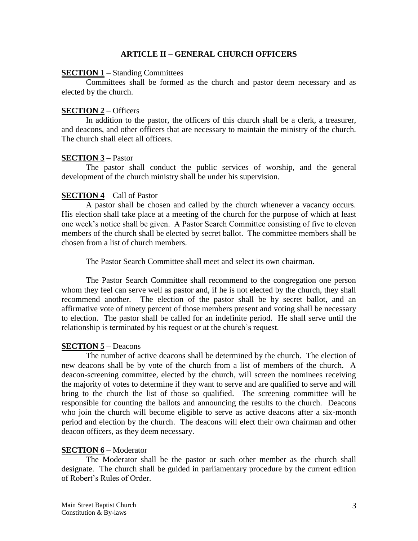### **ARTICLE II – GENERAL CHURCH OFFICERS**

### **SECTION 1** – Standing Committees

Committees shall be formed as the church and pastor deem necessary and as elected by the church.

### **SECTION 2** – Officers

In addition to the pastor, the officers of this church shall be a clerk, a treasurer, and deacons, and other officers that are necessary to maintain the ministry of the church. The church shall elect all officers.

### **SECTION 3** – Pastor

The pastor shall conduct the public services of worship, and the general development of the church ministry shall be under his supervision.

# **SECTION 4** – Call of Pastor

A pastor shall be chosen and called by the church whenever a vacancy occurs. His election shall take place at a meeting of the church for the purpose of which at least one week's notice shall be given. A Pastor Search Committee consisting of five to eleven members of the church shall be elected by secret ballot. The committee members shall be chosen from a list of church members.

The Pastor Search Committee shall meet and select its own chairman.

The Pastor Search Committee shall recommend to the congregation one person whom they feel can serve well as pastor and, if he is not elected by the church, they shall recommend another. The election of the pastor shall be by secret ballot, and an affirmative vote of ninety percent of those members present and voting shall be necessary to election. The pastor shall be called for an indefinite period. He shall serve until the relationship is terminated by his request or at the church's request.

### **SECTION 5** – Deacons

The number of active deacons shall be determined by the church. The election of new deacons shall be by vote of the church from a list of members of the church. A deacon-screening committee, elected by the church, will screen the nominees receiving the majority of votes to determine if they want to serve and are qualified to serve and will bring to the church the list of those so qualified. The screening committee will be responsible for counting the ballots and announcing the results to the church. Deacons who join the church will become eligible to serve as active deacons after a six-month period and election by the church. The deacons will elect their own chairman and other deacon officers, as they deem necessary.

### **SECTION 6** – Moderator

The Moderator shall be the pastor or such other member as the church shall designate. The church shall be guided in parliamentary procedure by the current edition of Robert's Rules of Order.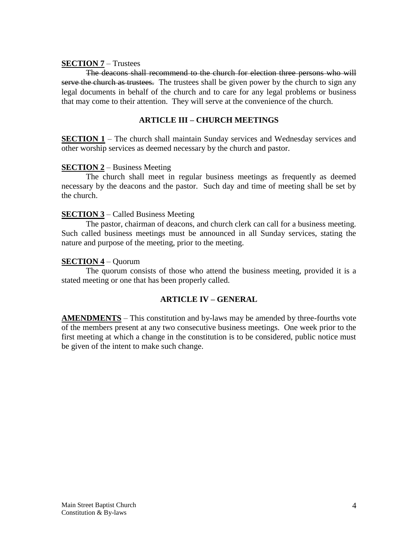## **SECTION 7** – Trustees

The deacons shall recommend to the church for election three persons who will serve the church as trustees. The trustees shall be given power by the church to sign any legal documents in behalf of the church and to care for any legal problems or business that may come to their attention. They will serve at the convenience of the church.

# **ARTICLE III – CHURCH MEETINGS**

**SECTION 1** – The church shall maintain Sunday services and Wednesday services and other worship services as deemed necessary by the church and pastor.

## **SECTION 2** – Business Meeting

The church shall meet in regular business meetings as frequently as deemed necessary by the deacons and the pastor. Such day and time of meeting shall be set by the church.

## **SECTION 3** – Called Business Meeting

The pastor, chairman of deacons, and church clerk can call for a business meeting. Such called business meetings must be announced in all Sunday services, stating the nature and purpose of the meeting, prior to the meeting.

## **SECTION 4** – Quorum

The quorum consists of those who attend the business meeting, provided it is a stated meeting or one that has been properly called.

# **ARTICLE IV – GENERAL**

**AMENDMENTS** – This constitution and by-laws may be amended by three-fourths vote of the members present at any two consecutive business meetings. One week prior to the first meeting at which a change in the constitution is to be considered, public notice must be given of the intent to make such change.